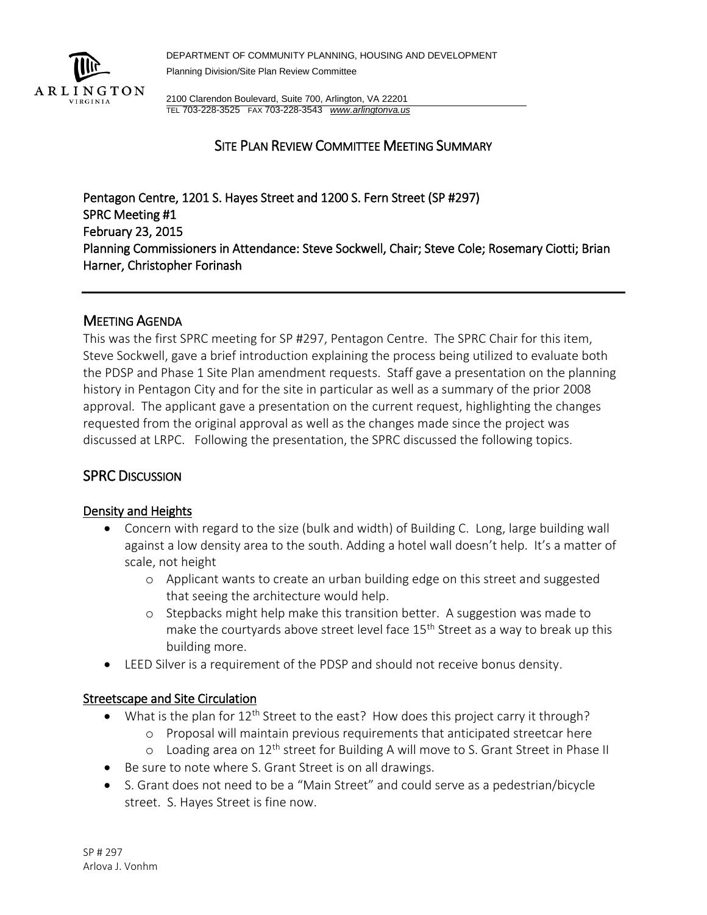

DEPARTMENT OF COMMUNITY PLANNING, HOUSING AND DEVELOPMENT Planning Division/Site Plan Review Committee

2100 Clarendon Boulevard, Suite 700, Arlington, VA 22201 TEL 703-228-3525 FAX 703-228-3543 *[www.arlingtonva.us](http://www.arlingtonva.us/)*

## SITE PLAN REVIEW COMMITTEE MEETING SUMMARY

Pentagon Centre, 1201 S. Hayes Street and 1200 S. Fern Street (SP #297) SPRC Meeting #1 February 23, 2015 Planning Commissioners in Attendance: Steve Sockwell, Chair; Steve Cole; Rosemary Ciotti; Brian Harner, Christopher Forinash

### MEETING AGENDA

This was the first SPRC meeting for SP #297, Pentagon Centre. The SPRC Chair for this item, Steve Sockwell, gave a brief introduction explaining the process being utilized to evaluate both the PDSP and Phase 1 Site Plan amendment requests. Staff gave a presentation on the planning history in Pentagon City and for the site in particular as well as a summary of the prior 2008 approval. The applicant gave a presentation on the current request, highlighting the changes requested from the original approval as well as the changes made since the project was discussed at LRPC. Following the presentation, the SPRC discussed the following topics.

## SPRC DISCUSSION

### Density and Heights

- Concern with regard to the size (bulk and width) of Building C. Long, large building wall against a low density area to the south. Adding a hotel wall doesn't help. It's a matter of scale, not height
	- o Applicant wants to create an urban building edge on this street and suggested that seeing the architecture would help.
	- o Stepbacks might help make this transition better. A suggestion was made to make the courtyards above street level face 15<sup>th</sup> Street as a way to break up this building more.
- LEED Silver is a requirement of the PDSP and should not receive bonus density.

### Streetscape and Site Circulation

- What is the plan for  $12^{th}$  Street to the east? How does this project carry it through?
	- o Proposal will maintain previous requirements that anticipated streetcar here
	- $\circ$  Loading area on 12<sup>th</sup> street for Building A will move to S. Grant Street in Phase II
- Be sure to note where S. Grant Street is on all drawings.
- S. Grant does not need to be a "Main Street" and could serve as a pedestrian/bicycle street. S. Hayes Street is fine now.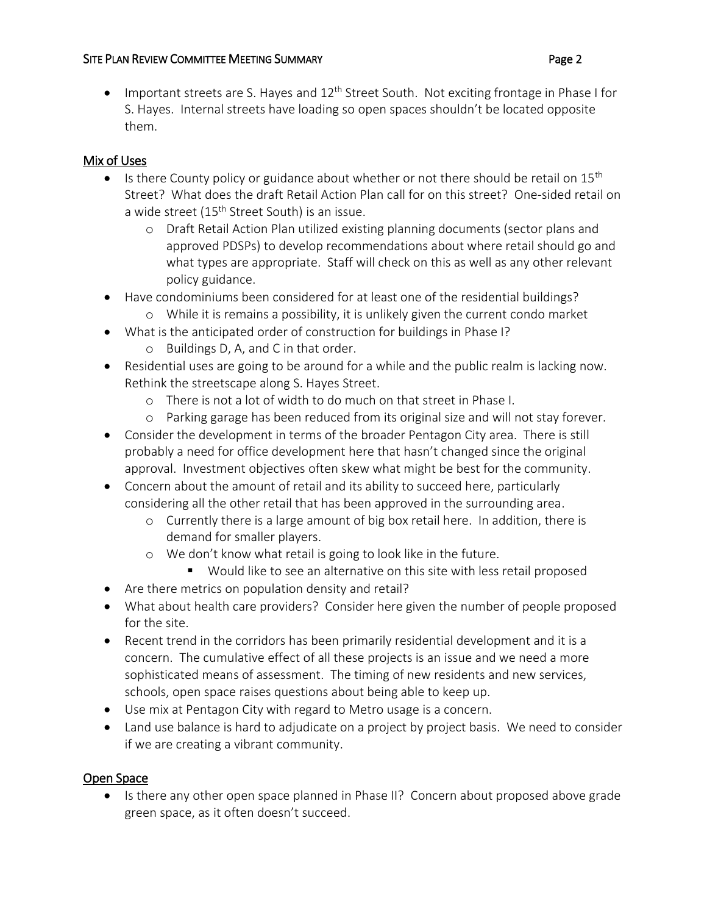#### SITE PLAN REVIEW COMMITTEE MEETING SUMMARY **Example 2** 2

Important streets are S. Hayes and  $12<sup>th</sup>$  Street South. Not exciting frontage in Phase I for S. Hayes. Internal streets have loading so open spaces shouldn't be located opposite them.

# Mix of Uses

- Is there County policy or guidance about whether or not there should be retail on  $15<sup>th</sup>$ Street? What does the draft Retail Action Plan call for on this street? One-sided retail on a wide street (15<sup>th</sup> Street South) is an issue.
	- o Draft Retail Action Plan utilized existing planning documents (sector plans and approved PDSPs) to develop recommendations about where retail should go and what types are appropriate. Staff will check on this as well as any other relevant policy guidance.
- Have condominiums been considered for at least one of the residential buildings?
	- o While it is remains a possibility, it is unlikely given the current condo market
- What is the anticipated order of construction for buildings in Phase I?
	- o Buildings D, A, and C in that order.
- Residential uses are going to be around for a while and the public realm is lacking now. Rethink the streetscape along S. Hayes Street.
	- o There is not a lot of width to do much on that street in Phase I.
	- o Parking garage has been reduced from its original size and will not stay forever.
- Consider the development in terms of the broader Pentagon City area. There is still probably a need for office development here that hasn't changed since the original approval. Investment objectives often skew what might be best for the community.
- Concern about the amount of retail and its ability to succeed here, particularly considering all the other retail that has been approved in the surrounding area.
	- o Currently there is a large amount of big box retail here. In addition, there is demand for smaller players.
	- o We don't know what retail is going to look like in the future.
		- **Would like to see an alternative on this site with less retail proposed**
- Are there metrics on population density and retail?
- What about health care providers? Consider here given the number of people proposed for the site.
- Recent trend in the corridors has been primarily residential development and it is a concern. The cumulative effect of all these projects is an issue and we need a more sophisticated means of assessment. The timing of new residents and new services, schools, open space raises questions about being able to keep up.
- Use mix at Pentagon City with regard to Metro usage is a concern.
- Land use balance is hard to adjudicate on a project by project basis. We need to consider if we are creating a vibrant community.

# Open Space

• Is there any other open space planned in Phase II? Concern about proposed above grade green space, as it often doesn't succeed.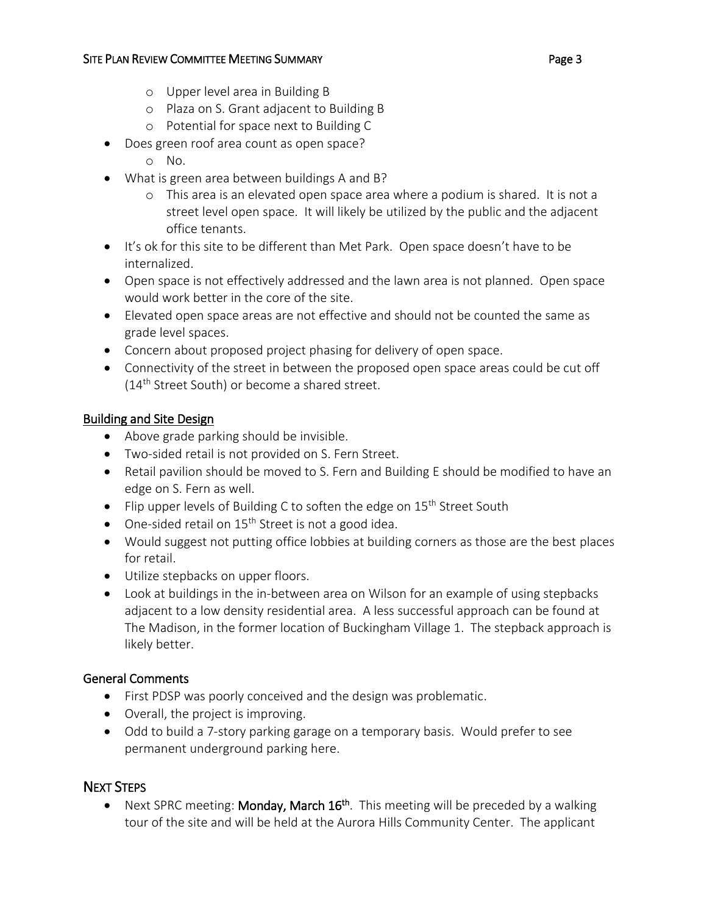- o Upper level area in Building B
- o Plaza on S. Grant adjacent to Building B
- o Potential for space next to Building C
- Does green roof area count as open space?
	- o No.
- What is green area between buildings A and B?
	- o This area is an elevated open space area where a podium is shared. It is not a street level open space. It will likely be utilized by the public and the adjacent office tenants.
- It's ok for this site to be different than Met Park. Open space doesn't have to be internalized.
- Open space is not effectively addressed and the lawn area is not planned. Open space would work better in the core of the site.
- Elevated open space areas are not effective and should not be counted the same as grade level spaces.
- Concern about proposed project phasing for delivery of open space.
- Connectivity of the street in between the proposed open space areas could be cut off (14<sup>th</sup> Street South) or become a shared street.

## Building and Site Design

- Above grade parking should be invisible.
- Two-sided retail is not provided on S. Fern Street.
- Retail pavilion should be moved to S. Fern and Building E should be modified to have an edge on S. Fern as well.
- Flip upper levels of Building C to soften the edge on  $15<sup>th</sup>$  Street South
- $\bullet$  One-sided retail on 15<sup>th</sup> Street is not a good idea.
- Would suggest not putting office lobbies at building corners as those are the best places for retail.
- Utilize stepbacks on upper floors.
- Look at buildings in the in-between area on Wilson for an example of using stepbacks adjacent to a low density residential area. A less successful approach can be found at The Madison, in the former location of Buckingham Village 1. The stepback approach is likely better.

## General Comments

- First PDSP was poorly conceived and the design was problematic.
- Overall, the project is improving.
- Odd to build a 7-story parking garage on a temporary basis. Would prefer to see permanent underground parking here.

# NEXT STEPS

• Next SPRC meeting: Monday, March  $16<sup>th</sup>$ . This meeting will be preceded by a walking tour of the site and will be held at the Aurora Hills Community Center. The applicant